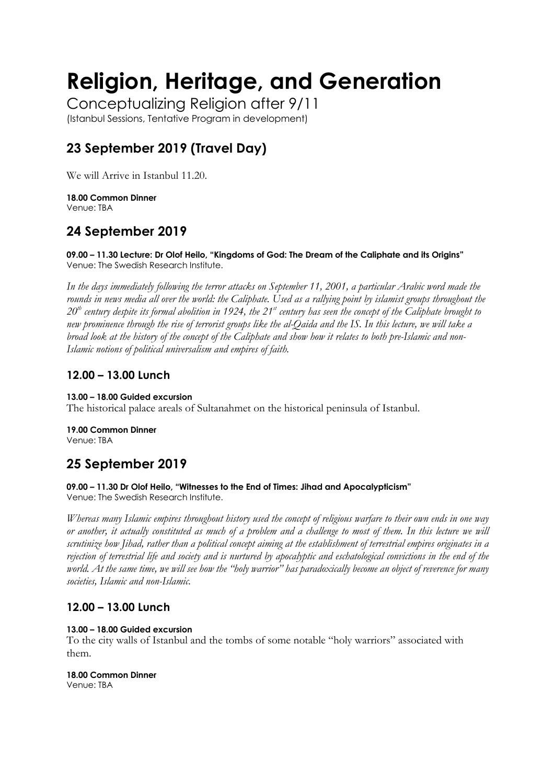# **Religion, Heritage, and Generation**

Conceptualizing Religion after 9/11 (Istanbul Sessions, Tentative Program in development)

# **23 September 2019 (Travel Day)**

We will Arrive in Istanbul 11.20.

**18.00 Common Dinner** Venue: TBA

# **24 September 2019**

**09.00 – 11.30 Lecture: Dr Olof Heilo, "Kingdoms of God: The Dream of the Caliphate and its Origins"** Venue: The Swedish Research Institute.

*In the days immediately following the terror attacks on September 11, 2001, a particular Arabic word made the*  rounds in news media all over the world: the Caliphate. Used as a rallying point by islamist groups throughout the *20th century despite its formal abolition in 1924, the 21st century has seen the concept of the Caliphate brought to new prominence through the rise of terrorist groups like the al-Qaida and the IS. In this lecture, we will take a broad look at the history of the concept of the Caliphate and show how it relates to both pre-Islamic and non-Islamic notions of political universalism and empires of faith.*

## **12.00 – 13.00 Lunch**

#### **13.00 – 18.00 Guided excursion**

The historical palace areals of Sultanahmet on the historical peninsula of Istanbul.

**19.00 Common Dinner** Venue: TBA

# **25 September 2019**

## **09.00 – 11.30 Dr Olof Heilo, "Witnesses to the End of Times: Jihad and Apocalypticism"**

Venue: The Swedish Research Institute.

*Whereas many Islamic empires throughout history used the concept of religious warfare to their own ends in one way or another, it actually constituted as much of a problem and a challenge to most of them. In this lecture we will scrutinize how Jihad, rather than a political concept aiming at the establishment of terrestrial empires originates in a rejection of terrestrial life and society and is nurtured by apocalyptic and eschatological convictions in the end of the world. At the same time, we will see how the "holy warrior" has paradoxically become an object of reverence for many societies, Islamic and non-Islamic.*

## **12.00 – 13.00 Lunch**

#### **13.00 – 18.00 Guided excursion**

To the city walls of Istanbul and the tombs of some notable "holy warriors" associated with them.

#### **18.00 Common Dinner**

Venue: TBA